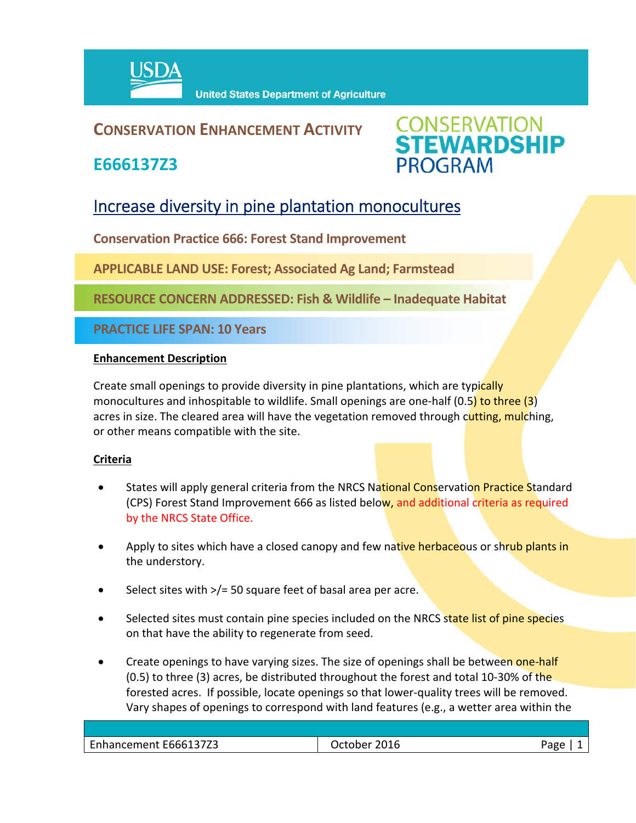

### **CONSERVATION ENHANCEMENT ACTIVITY**

**E666137Z3**



## Increase diversity in pine plantation monocultures

**Conservation Practice 666: Forest Stand Improvement**

**APPLICABLE LAND USE: Forest; Associated Ag Land; Farmstead**

**RESOURCE CONCERN ADDRESSED: Fish & Wildlife – Inadequate Habitat**

**PRACTICE LIFE SPAN: 10 Years**

#### **Enhancement Description**

Create small openings to provide diversity in pine plantations, which are typically monocultures and inhospitable to wildlife. Small openings are one-half (0.5) to three (3) acres in size. The cleared area will have the vegetation removed through cutting, mulching, or other means compatible with the site.

#### **Criteria**

- States will apply general criteria from the NRCS National Conservation Practice Standard (CPS) Forest Stand Improvement 666 as listed below, and additional criteria as required by the NRCS State Office.
- Apply to sites which have a closed canopy and few native herbaceous or shrub plants in the understory.
- Select sites with >/= 50 square feet of basal area per acre.
- Selected sites must contain pine species included on the NRCS state list of pine species on that have the ability to regenerate from seed.
- Create openings to have varying sizes. The size of openings shall be between one-half  $(0.5)$  to three (3) acres, be distributed throughout the forest and total 10-30% of the forested acres. If possible, locate openings so that lower‐quality trees will be removed. Vary shapes of openings to correspond with land features (e.g., a wetter area within the

| Enhancement E666137Z3 | 2016<br>ctober/ | חסרי |
|-----------------------|-----------------|------|
|                       |                 |      |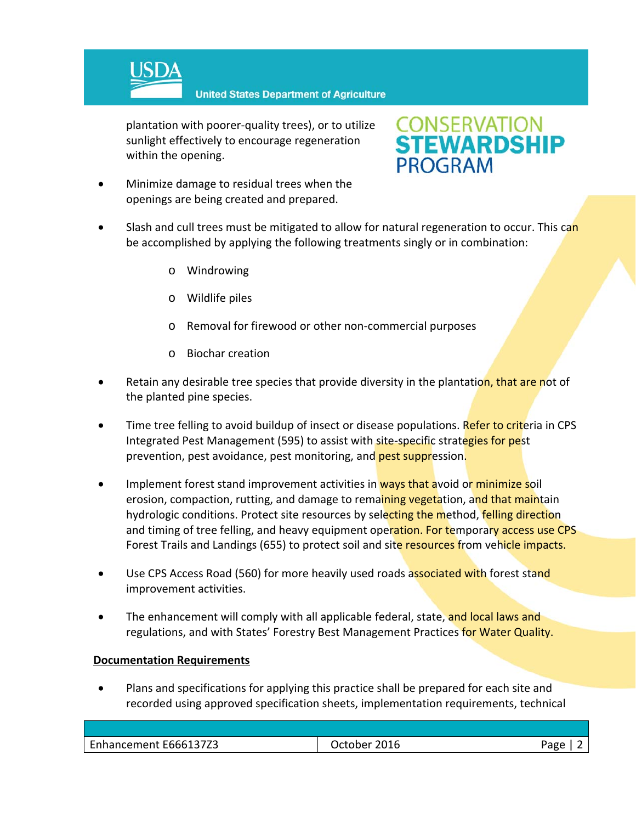

**United States Department of Agriculture** 

plantation with poorer‐quality trees), or to utilize sunlight effectively to encourage regeneration within the opening.

# **CONSERVATION<br>STEWARDSHIP PROGRAM**

- Minimize damage to residual trees when the openings are being created and prepared.
- Slash and cull trees must be mitigated to allow for natural regeneration to occur. This can be accomplished by applying the following treatments singly or in combination:
	- o Windrowing
	- o Wildlife piles
	- o Removal for firewood or other non‐commercial purposes
	- o Biochar creation
- Retain any desirable tree species that provide diversity in the plantation, that are not of the planted pine species.
- Time tree felling to avoid buildup of insect or disease populations. Refer to criteria in CPS Integrated Pest Management (595) to assist with site-specific strategies for pest prevention, pest avoidance, pest monitoring, and pest suppression.
- Implement forest stand improvement activities in ways that avoid or minimize soil erosion, compaction, rutting, and damage to remaining vegetation, and that maintain hydrologic conditions. Protect site resources by selecting the method, felling direction and timing of tree felling, and heavy equipment operation. For temporary access use CPS Forest Trails and Landings (655) to protect soil and site resources from vehicle impacts.
- Use CPS Access Road (560) for more heavily used roads associated with forest stand improvement activities.
- The enhancement will comply with all applicable federal, state, and local laws and regulations, and with States' Forestry Best Management Practices for Water Quality.

#### **Documentation Requirements**

 Plans and specifications for applying this practice shall be prepared for each site and recorded using approved specification sheets, implementation requirements, technical

| 2016<br>Page |         |
|--------------|---------|
|              | Irtoher |